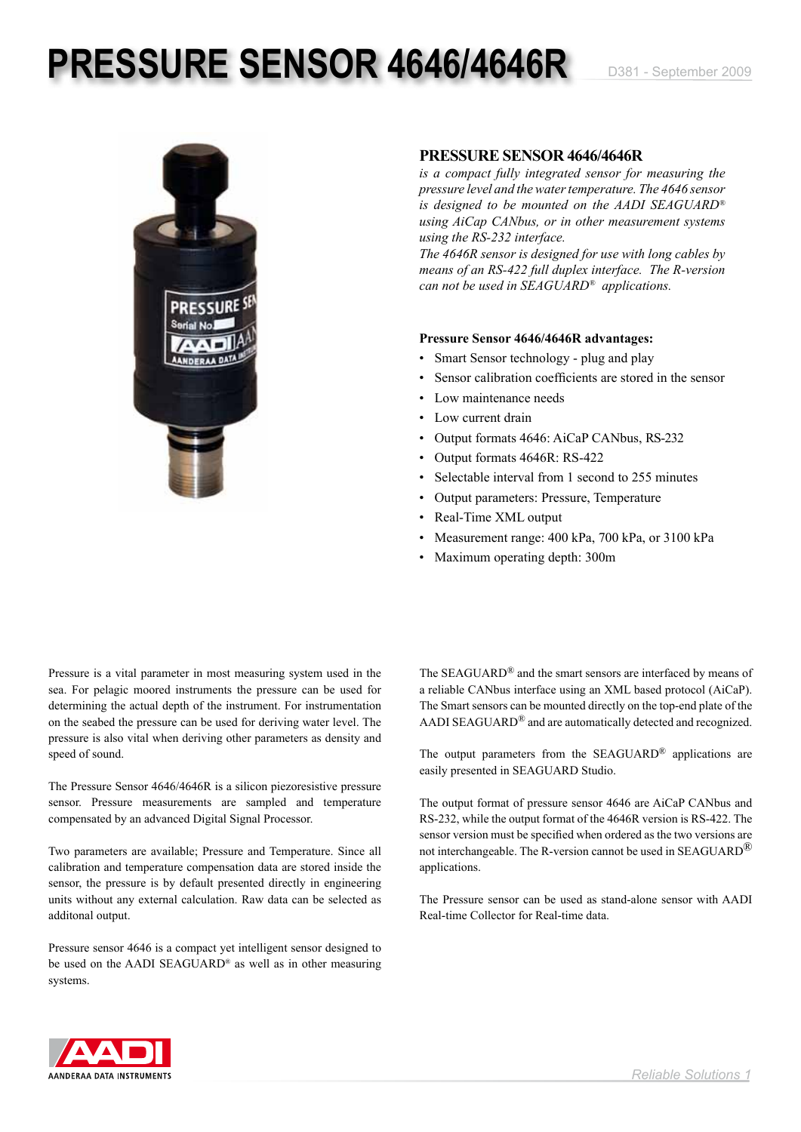## **PRESSURE SENSOR 4646/4646R** D381 - September 2009



### **PRESSURE SENSOR 4646/4646R**

*is a compact fully integrated sensor for measuring the pressure level and the water temperature. The 4646 sensor is designed to be mounted on the AADI SEAGUARD® using AiCap CANbus, or in other measurement systems using the RS-232 interface.* 

*The 4646R sensor is designed for use with long cables by means of an RS-422 full duplex interface. The R-version can not be used in SEAGUARD® applications.*

### **Pressure Sensor 4646/4646R advantages:**

- Smart Sensor technology plug and play
- Sensor calibration coefficients are stored in the sensor
- Low maintenance needs
- Low current drain
- Output formats 4646: AiCaP CANbus, RS-232
- Output formats 4646R: RS-422
- Selectable interval from 1 second to 255 minutes
- Output parameters: Pressure, Temperature
- Real-Time XML output
- Measurement range: 400 kPa, 700 kPa, or 3100 kPa
- Maximum operating depth: 300m

Pressure is a vital parameter in most measuring system used in the sea. For pelagic moored instruments the pressure can be used for determining the actual depth of the instrument. For instrumentation on the seabed the pressure can be used for deriving water level. The pressure is also vital when deriving other parameters as density and speed of sound.

The Pressure Sensor 4646/4646R is a silicon piezoresistive pressure sensor. Pressure measurements are sampled and temperature compensated by an advanced Digital Signal Processor.

Two parameters are available; Pressure and Temperature. Since all calibration and temperature compensation data are stored inside the sensor, the pressure is by default presented directly in engineering units without any external calculation. Raw data can be selected as additonal output.

Pressure sensor 4646 is a compact yet intelligent sensor designed to be used on the AADI SEAGUARD® as well as in other measuring systems.

The SEAGUARD® and the smart sensors are interfaced by means of a reliable CANbus interface using an XML based protocol (AiCaP). The Smart sensors can be mounted directly on the top-end plate of the AADI SEAGUARD® and are automatically detected and recognized.

The output parameters from the SEAGUARD® applications are easily presented in SEAGUARD Studio.

The output format of pressure sensor 4646 are AiCaP CANbus and RS-232, while the output format of the 4646R version is RS-422. The sensor version must be specified when ordered as the two versions are not interchangeable. The R-version cannot be used in SEAGUARD® applications.

The Pressure sensor can be used as stand-alone sensor with AADI Real-time Collector for Real-time data.